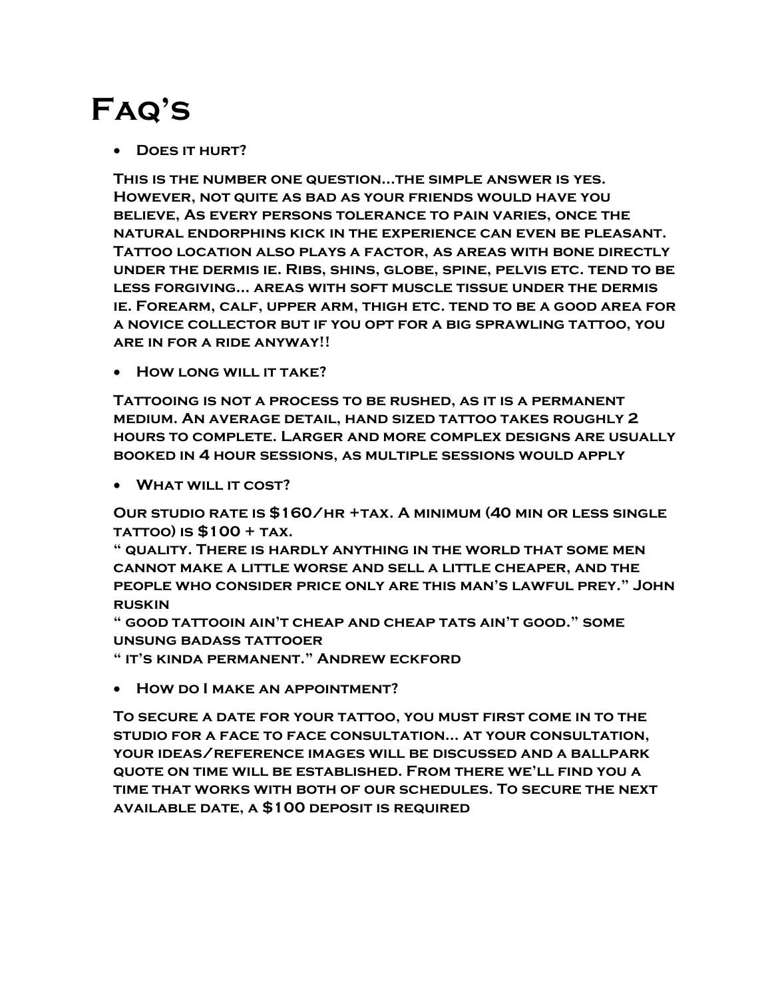## Faq's

• DOES IT HURT?

This is the number one question…the simple answer is yes. However, not quite as bad as your friends would have you believe, As every persons tolerance to pain varies, once the natural endorphins kick in the experience can even be pleasant. Tattoo location also plays a factor, as areas with bone directly under the dermis ie. Ribs, shins, globe, spine, pelvis etc. tend to be less forgiving… areas with soft muscle tissue under the dermis ie. Forearm, calf, upper arm, thigh etc. tend to be a good area for a novice collector but if you opt for a big sprawling tattoo, you are in for a ride anyway!!

• HOW LONG WILL IT TAKE?

Tattooing is not a process to be rushed, as it is a permanent medium. An average detail, hand sized tattoo takes roughly 2 hours to complete. Larger and more complex designs are usually booked in 4 hour sessions, as multiple sessions would apply

• WHAT WILL IT COST?

Our studio rate is \$160/hr +tax. A minimum (40 min or less single tattoo) is \$100 + tax.

" quality. There is hardly anything in the world that some men cannot make a little worse and sell a little cheaper, and the people who consider price only are this man's lawful prey." John ruskin

" good tattooin ain't cheap and cheap tats ain't good." some unsung badass tattooer

" it's kinda permanent." Andrew eckford

How do I make an appointment?

To secure a date for your tattoo, you must first come in to the studio for a face to face consultation… at your consultation, your ideas/reference images will be discussed and a ballpark quote on time will be established. From there we'll find you a time that works with both of our schedules. To secure the next available date, a \$100 deposit is required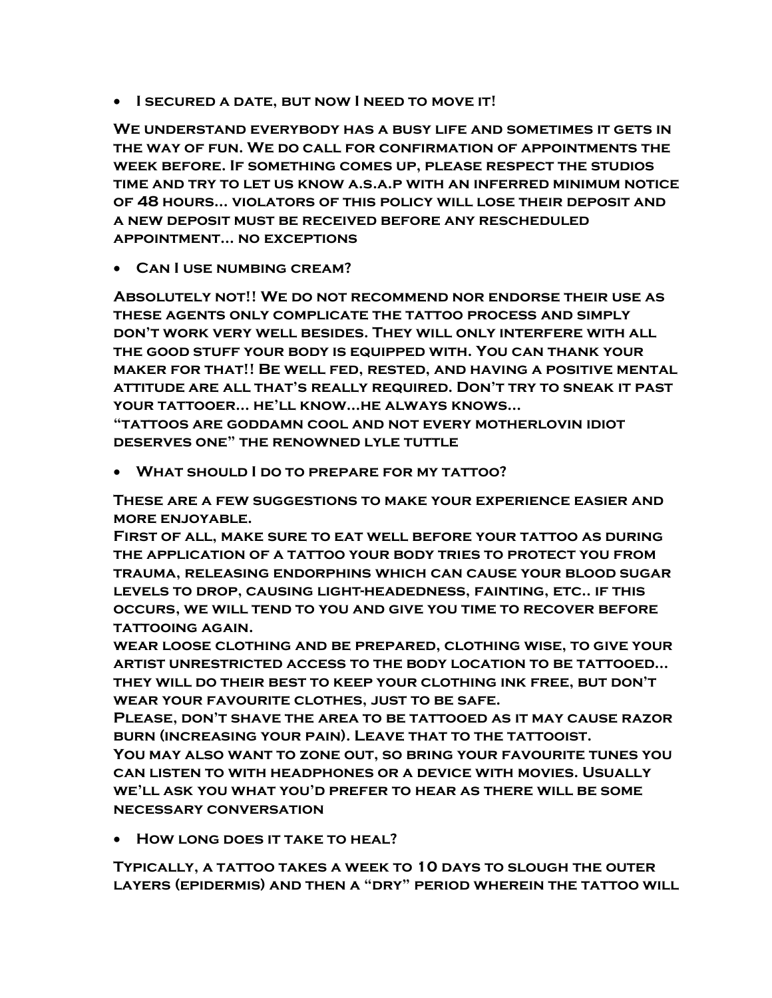**I SECURED A DATE, BUT NOW I NEED TO MOVE IT!** 

We understand everybody has a busy life and sometimes it gets in the way of fun. We do call for confirmation of appointments the week before. If something comes up, please respect the studios time and try to let us know a.s.a.p with an inferred minimum notice of 48 hours… violators of this policy will lose their deposit and a new deposit must be received before any rescheduled appointment… no exceptions

Can I use numbing cream?

Absolutely not!! We do not recommend nor endorse their use as these agents only complicate the tattoo process and simply don't work very well besides. They will only interfere with all the good stuff your body is equipped with. You can thank your maker for that!! Be well fed, rested, and having a positive mental attitude are all that's really required. Don't try to sneak it past your tattooer… he'll know…he always knows…

"tattoos are goddamn cool and not every motherlovin idiot deserves one" the renowned lyle tuttle

What should I do to prepare for my tattoo?

These are a few suggestions to make your experience easier and more enjoyable.

First of all, make sure to eat well before your tattoo as during the application of a tattoo your body tries to protect you from trauma, releasing endorphins which can cause your blood sugar levels to drop, causing light-headedness, fainting, etc.. if this occurs, we will tend to you and give you time to recover before tattooing again.

wear loose clothing and be prepared, clothing wise, to give your artist unrestricted access to the body location to be tattooed… they will do their best to keep your clothing ink free, but don't wear your favourite clothes, just to be safe.

Please, don't shave the area to be tattooed as it may cause razor burn (increasing your pain). Leave that to the tattooist.

You may also want to zone out, so bring your favourite tunes you can listen to with headphones or a device with movies. Usually we'll ask you what you'd prefer to hear as there will be some necessary conversation

• HOW LONG DOES IT TAKE TO HEAL?

Typically, a tattoo takes a week to 10 days to slough the outer layers (epidermis) and then a "dry" period wherein the tattoo will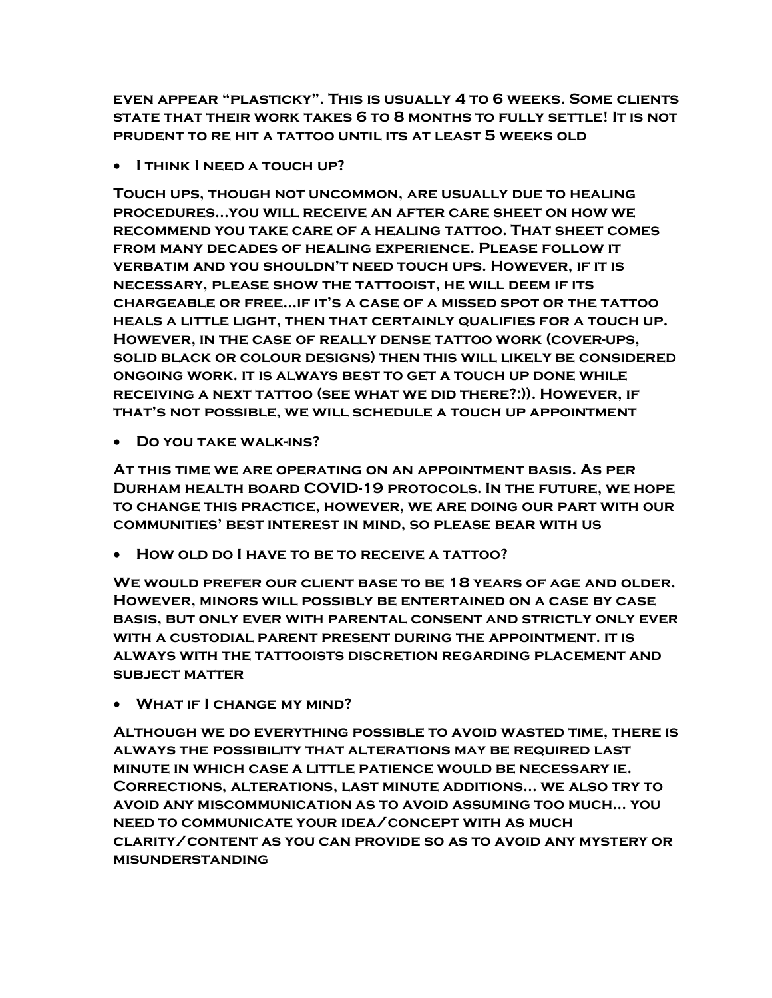even appear "plasticky". This is usually 4 to 6 weeks. Some clients state that their work takes 6 to 8 months to fully settle! It is not prudent to re hit a tattoo until its at least 5 weeks old

• I THINK I NEED A TOUCH UP?

Touch ups, though not uncommon, are usually due to healing procedures…you will receive an after care sheet on how we recommend you take care of a healing tattoo. That sheet comes from many decades of healing experience. Please follow it verbatim and you shouldn't need touch ups. However, if it is necessary, please show the tattooist, he will deem if its chargeable or free…if it's a case of a missed spot or the tattoo heals a little light, then that certainly qualifies for a touch up. However, in the case of really dense tattoo work (cover-ups, solid black or colour designs) then this will likely be considered ongoing work. it is always best to get a touch up done while receiving a next tattoo (see what we did there?:)). However, if that's not possible, we will schedule a touch up appointment

Do you take walk-ins?

At this time we are operating on an appointment basis. As per Durham health board COVID-19 protocols. In the future, we hope to change this practice, however, we are doing our part with our communities' best interest in mind, so please bear with us

How old do I have to be to receive a tattoo?

We would prefer our client base to be 18 years of age and older. However, minors will possibly be entertained on a case by case basis, but only ever with parental consent and strictly only ever with a custodial parent present during the appointment. it is always with the tattooists discretion regarding placement and subject matter

What if I change my mind?

Although we do everything possible to avoid wasted time, there is always the possibility that alterations may be required last minute in which case a little patience would be necessary ie. Corrections, alterations, last minute additions… we also try to avoid any miscommunication as to avoid assuming too much… you need to communicate your idea/concept with as much clarity/content as you can provide so as to avoid any mystery or misunderstanding